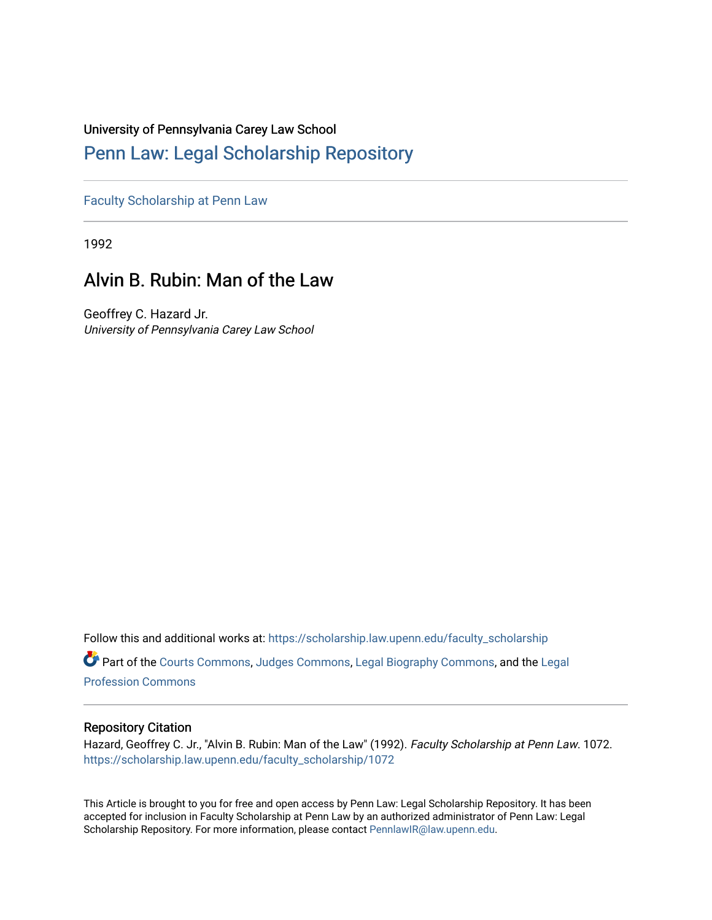### University of Pennsylvania Carey Law School

## [Penn Law: Legal Scholarship Repository](https://scholarship.law.upenn.edu/)

[Faculty Scholarship at Penn Law](https://scholarship.law.upenn.edu/faculty_scholarship)

1992

# Alvin B. Rubin: Man of the Law

Geoffrey C. Hazard Jr. University of Pennsylvania Carey Law School

Follow this and additional works at: [https://scholarship.law.upenn.edu/faculty\\_scholarship](https://scholarship.law.upenn.edu/faculty_scholarship?utm_source=scholarship.law.upenn.edu%2Ffaculty_scholarship%2F1072&utm_medium=PDF&utm_campaign=PDFCoverPages) 

Part of the [Courts Commons,](http://network.bepress.com/hgg/discipline/839?utm_source=scholarship.law.upenn.edu%2Ffaculty_scholarship%2F1072&utm_medium=PDF&utm_campaign=PDFCoverPages) [Judges Commons](http://network.bepress.com/hgg/discipline/849?utm_source=scholarship.law.upenn.edu%2Ffaculty_scholarship%2F1072&utm_medium=PDF&utm_campaign=PDFCoverPages), [Legal Biography Commons](http://network.bepress.com/hgg/discipline/834?utm_source=scholarship.law.upenn.edu%2Ffaculty_scholarship%2F1072&utm_medium=PDF&utm_campaign=PDFCoverPages), and the [Legal](http://network.bepress.com/hgg/discipline/1075?utm_source=scholarship.law.upenn.edu%2Ffaculty_scholarship%2F1072&utm_medium=PDF&utm_campaign=PDFCoverPages)  [Profession Commons](http://network.bepress.com/hgg/discipline/1075?utm_source=scholarship.law.upenn.edu%2Ffaculty_scholarship%2F1072&utm_medium=PDF&utm_campaign=PDFCoverPages) 

### Repository Citation

Hazard, Geoffrey C. Jr., "Alvin B. Rubin: Man of the Law" (1992). Faculty Scholarship at Penn Law. 1072. [https://scholarship.law.upenn.edu/faculty\\_scholarship/1072](https://scholarship.law.upenn.edu/faculty_scholarship/1072?utm_source=scholarship.law.upenn.edu%2Ffaculty_scholarship%2F1072&utm_medium=PDF&utm_campaign=PDFCoverPages)

This Article is brought to you for free and open access by Penn Law: Legal Scholarship Repository. It has been accepted for inclusion in Faculty Scholarship at Penn Law by an authorized administrator of Penn Law: Legal Scholarship Repository. For more information, please contact [PennlawIR@law.upenn.edu.](mailto:PennlawIR@law.upenn.edu)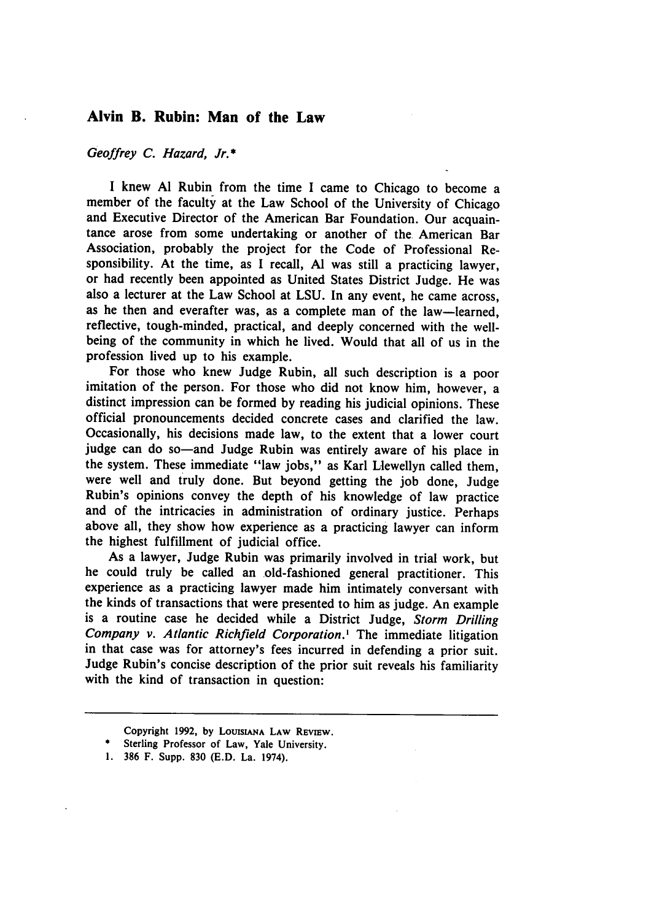#### **Alvin B. Rubin: Man of the Law**

*Geoffrey C. Hazard, Jr.\**

I knew Al Rubin from the time I came to Chicago to become a member of the faculty at the Law School of the University of Chicago and Executive Director of the American Bar Foundation. Our acquaintance arose from some undertaking or another of the American Bar Association, probably the project for the Code of Professional Responsibility. At the time, as I recall, Al was still a practicing lawyer, or had recently been appointed as United States District Judge. He was also a lecturer at the Law School at LSU. In any event, he came across, as he then and everafter was, as a complete man of the law-learned, reflective, tough-minded, practical, and deeply concerned with the wellbeing of the community in which he lived. Would that all of us in the profession lived up to his example.

For those who knew Judge Rubin, all such description is a poor imitation of the person. For those who did not know him, however, a distinct impression can be formed by reading his judicial opinions. These official pronouncements decided concrete cases and clarified the law. Occasionally, his decisions made law, to the extent that a lower court judge can do so-and Judge Rubin was entirely aware of his place in the system. These immediate "law jobs," as Karl Llewellyn called them, were well and truly done. But beyond getting the job done, Judge Rubin's opinions convey the depth of his knowledge of law practice and of the intricacies in administration of ordinary justice. Perhaps above all, they show how experience as a practicing lawyer can inform the highest fulfillment of judicial office.

As a lawyer, Judge Rubin was primarily involved in trial work, but he could truly be called an old-fashioned general practitioner. This experience as a practicing lawyer made him intimately conversant with the kinds of transactions that were presented to him as judge. An example is a routine case he decided while a District Judge, *Storm Drilling Company v. Atlantic Richfield Corporation.'* The immediate litigation in that case was for attorney's fees incurred in defending a prior suit. Judge Rubin's concise description of the prior suit reveals his familiarity with the kind of transaction in question:

Copyright **1992, by LOUISIANA LAw REvIEw.**

Sterling Professor of Law, Yale University.

<sup>1.</sup> **386** F. Supp. **830** (E.D. La. 1974).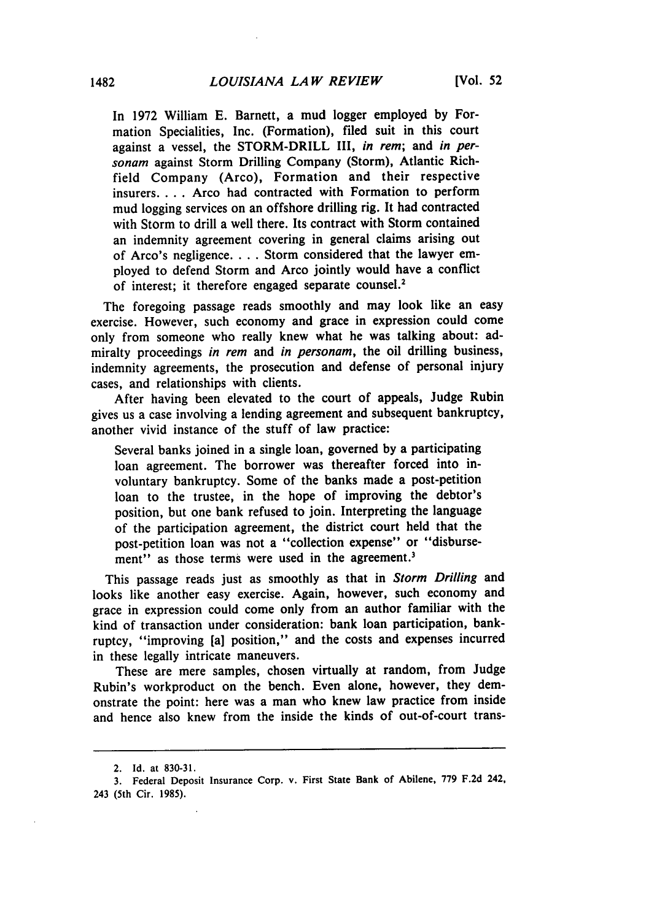In **1972** William **E.** Barnett, a mud logger employed **by** Formation Specialities, Inc. (Formation), filed suit in this court against a vessel, the STORM-DRILL III, in rem; and in personam against Storm Drilling Company (Storm), Atlantic Richfield Company (Arco), Formation and their respective insurers.... Arco had contracted with Formation to perform mud logging services on an offshore drilling rig. It had contracted with Storm to drill a well there. Its contract with Storm contained an indemnity agreement covering in general claims arising out of Arco's negligence **....** Storm considered that the lawyer employed to defend Storm and Arco jointly would have a conflict of interest; it therefore engaged separate counsel.<sup>2</sup>

The foregoing passage reads smoothly and may look like an easy exercise. However, such economy and grace in expression could come only from someone who really knew what he was talking about: admiralty proceedings in rem and in personam, the oil drilling business, indemnity agreements, the prosecution and defense of personal injury cases, and relationships with clients.

After having been elevated to the court of appeals, Judge Rubin gives us a case involving a lending agreement and subsequent bankruptcy, another vivid instance of the stuff of law practice:

Several banks joined in a single loan, governed by a participating loan agreement. The borrower was thereafter forced into involuntary bankruptcy. Some of the banks made a post-petition loan to the trustee, in the hope of improving the debtor's position, but one bank refused to join. Interpreting the language of the participation agreement, the district court held that the post-petition loan was not a "collection expense" or "disbursement" as those terms were used in the agreement.<sup>3</sup>

This passage reads just as smoothly as that in *Storm Drilling* and looks like another easy exercise. Again, however, such economy and grace in expression could come only from an author familiar with the kind of transaction under consideration: bank loan participation, bankruptcy, "improving [a] position," and the costs and expenses incurred in these legally intricate maneuvers.

These are mere samples, chosen virtually at random, from Judge Rubin's workproduct on the bench. Even alone, however, they demonstrate the point: here was a man who knew law practice from inside and hence also knew from the inside the kinds of out-of-court trans-

<sup>2.</sup> Id. at 830-31.

<sup>3.</sup> Federal Deposit Insurance Corp. v. First State Bank of Abilene, 779 F.2d 242, 243 (5th Cir. 1985).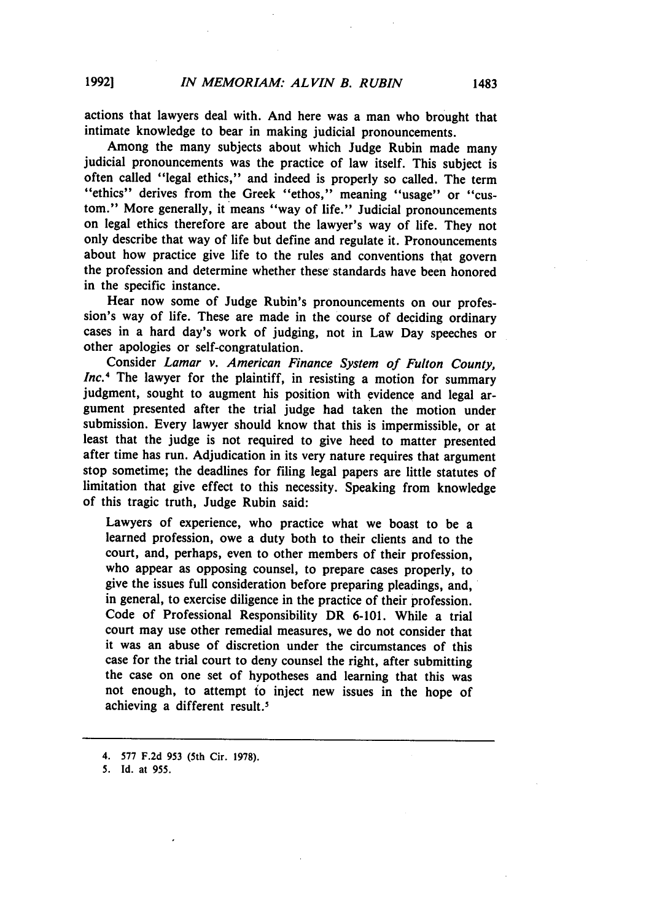actions that lawyers deal with. And here was a man who brought that intimate knowledge to bear in making judicial pronouncements.

Among the many subjects about which Judge Rubin made many judicial pronouncements was the practice of law itself. This subject is often called "legal ethics," and indeed is properly so called. The term **"ethics"** derives from the Greek **"ethos,"** meaning "usage" or "custom." More generally, it means "way of life." Judicial pronouncements on legal ethics therefore are about the lawyer's way of life. They not only describe that way of life but define and regulate it. Pronouncements about how practice give life to the rules and conventions that govern the profession and determine whether these standards have been honored in the specific instance.

Hear now some of Judge Rubin's pronouncements on our profession's way of life. These are made in the course of deciding ordinary cases in a hard day's work of judging, not in Law Day speeches or other apologies or self-congratulation.

Consider *Lamar v. American Finance System of Fulton County, Inc.*<sup>4</sup> The lawyer for the plaintiff, in resisting a motion for summary judgment, sought to augment his position with evidence and legal argument presented after the trial judge had taken the motion under submission. Every lawyer should know that this is impermissible, or at least that the judge is not required to give heed to matter presented after time has run. Adjudication in its very nature requires that argument stop sometime; the deadlines for filing legal papers are little statutes of limitation that give effect to this necessity. Speaking from knowledge of this tragic truth, Judge Rubin said:

Lawyers of experience, who practice what we boast to be a learned profession, owe a duty both to their clients and to the court, and, perhaps, even to other members of their profession, who appear as opposing counsel, to prepare cases properly, to give the issues full consideration before preparing pleadings, and, in general, to exercise diligence in the practice of their profession. Code of Professional Responsibility DR **6-101.** While a trial court may use other remedial measures, we do not consider that it was an abuse of discretion under the circumstances of this case for the trial court to deny counsel the right, after submitting the case on one set of hypotheses and learning that this was not enough, to attempt to inject new issues in the hope of achieving a different result.'

<sup>4.</sup> **577 F.2d 953** (5th Cir. **1978).**

**<sup>5.</sup>** Id. at **955.**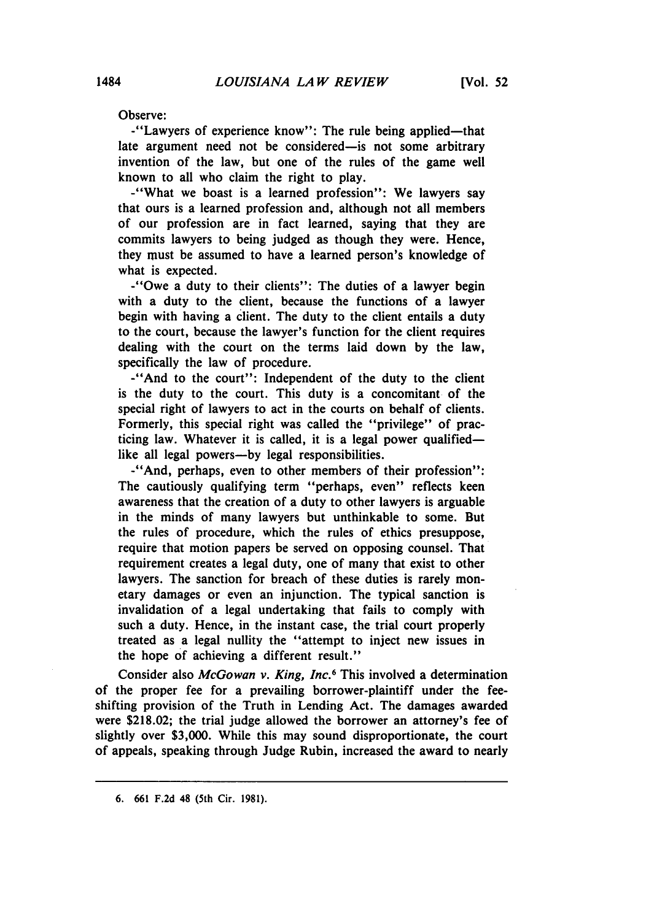Observe:

-"Lawyers of experience know": The rule being applied-that late argument need not be considered-is not some arbitrary invention of the law, but one of the rules of the game well known to all who claim the right to play.

-"What we boast is a learned profession": We lawyers say that ours is a learned profession and, although not all members of our profession are in fact learned, saying that they are commits lawyers to being judged as though they were. Hence, they must be assumed to have a learned person's knowledge of what is expected.

-"Owe a duty to their clients": The duties of a lawyer begin with a duty to the client, because the functions of a lawyer begin with having a client. The duty to the client entails a duty to the court, because the lawyer's function for the client requires dealing with the court on the terms laid down by the law, specifically the law of procedure.

-"And to the court": Independent of the duty to the client is the duty to the court. This duty is a concomitant of the special right of lawyers to act in the courts on behalf of clients. Formerly, this special right was called the "privilege" of practicing law. Whatever it is called, it is a legal power qualifiedlike all legal powers-by legal responsibilities.

-"And, perhaps, even to other members of their profession": The cautiously qualifying term "perhaps, even" reflects keen awareness that the creation of a duty to other lawyers is arguable in the minds of many lawyers but unthinkable to some. But the rules of procedure, which the rules of ethics presuppose, require that motion papers be served on opposing counsel. That requirement creates a legal duty, one of many that exist to other lawyers. The sanction for breach of these duties is rarely monetary damages or even an injunction. The typical sanction is invalidation of a legal undertaking that fails to comply with such a duty. Hence, in the instant case, the trial court properly treated as a legal nullity the "attempt to inject new issues in the hope of achieving a different result."

Consider also *McGowan v. King, Inc.<sup>6</sup>*This involved a determination of the proper fee for a prevailing borrower-plaintiff under the feeshifting provision of the Truth in Lending Act. The damages awarded were \$218.02; the trial judge allowed the borrower an attorney's fee of slightly over \$3,000. While this may sound disproportionate, the court of appeals, speaking through Judge Rubin, increased the award to nearly

**<sup>6. 661</sup> F.2d** 48 (5th Cir. **1981).**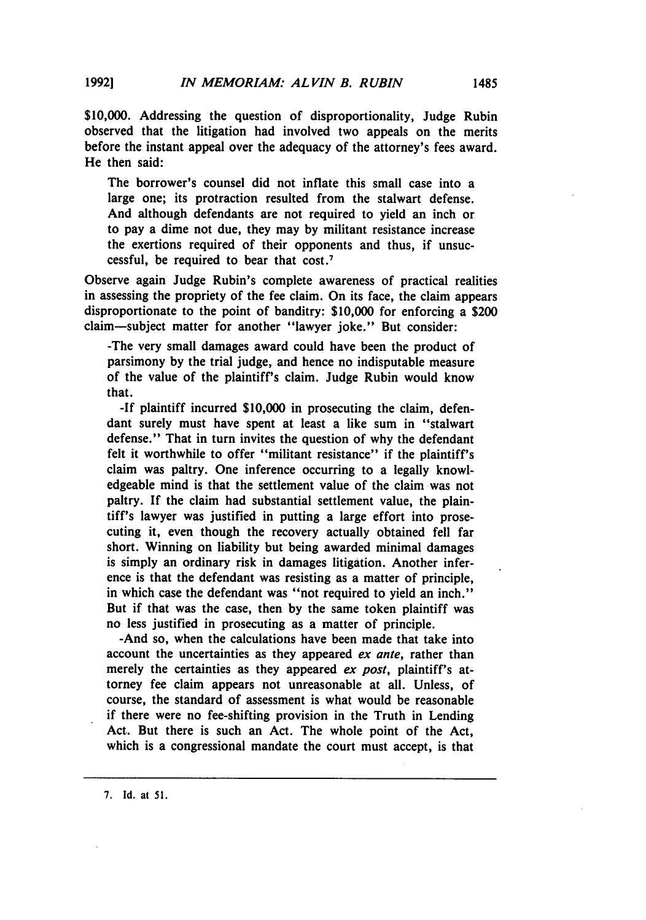**\$10,000.** Addressing the question of disproportionality, Judge Rubin observed that the litigation had involved two appeals on the merits before the instant appeal over the adequacy of the attorney's fees award. He then said:

The borrower's counsel did not inflate this small case into a large one; its protraction resulted from the stalwart defense. And although defendants are not required to yield an inch or to pay a dime not due, they may **by** militant resistance increase the exertions required of their opponents and thus, if unsuccessful, be required to bear that cost.<sup>7</sup>

Observe again Judge Rubin's complete awareness of practical realities in assessing the propriety of the fee claim. On its face, the claim appears disproportionate to the point of banditry: **\$10,000** for enforcing a \$200 claim-subject matter for another "lawyer joke." But consider:

-The very small damages award could have been the product of parsimony **by** the trial judge, and hence no indisputable measure of the value of the plaintiff's claim. Judge Rubin would know that.

**-If** plaintiff incurred **\$10,000** in prosecuting the claim, defendant surely must have spent at least a like sum in "stalwart defense." That in turn invites the question of why the defendant felt it worthwhile to offer "militant resistance" if the plaintiff's claim was paltry. One inference occurring to a legally knowledgeable mind is that the settlement value of the claim was not paltry. **If** the claim had substantial settlement value, the plaintiff's lawyer was justified in putting a large effort into prosecuting it, even though the recovery actually obtained fell far short. Winning on liability but being awarded minimal damages is simply an ordinary risk in damages litigation. Another inference is that the defendant was resisting as a matter of principle, in which case the defendant was "not required to yield an inch." But if that was the case, then **by** the same token plaintiff was no less justified in prosecuting as a matter of principle.

-And so, when the calculations have been made that take into account the uncertainties as they appeared *ex ante,* rather than merely the certainties as they appeared *ex post,* plaintiff's attorney fee claim appears not unreasonable at all. Unless, of course, the standard of assessment is what would be reasonable if there were no fee-shifting provision in the Truth in Lending Act. But there is such an Act. The whole point of the Act, which is a congressional mandate the court must accept, is that

**7.** Id. at *51.*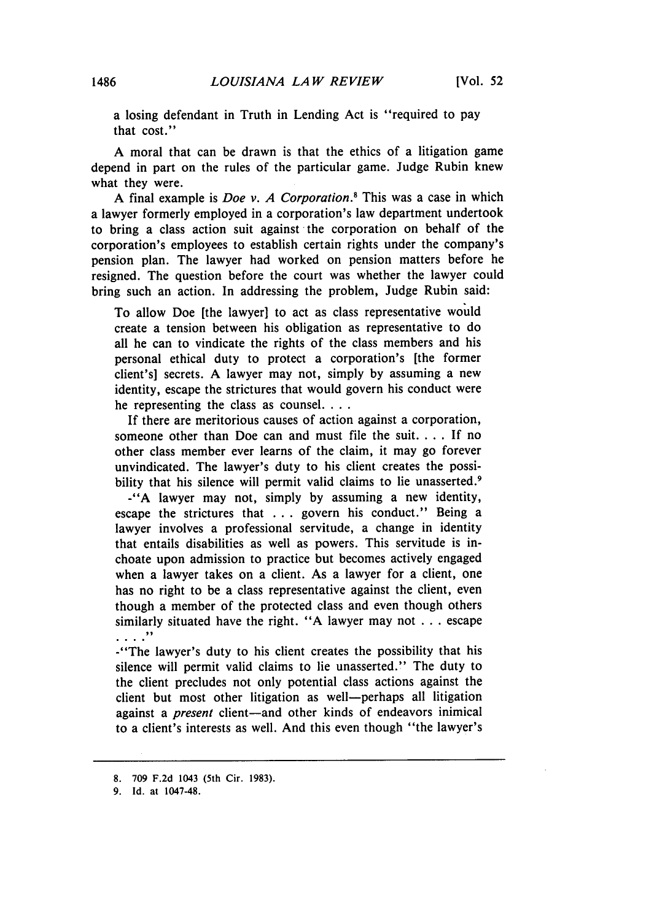a losing defendant in Truth in Lending Act is "required to pay that cost."

A moral that can be drawn is that the ethics of a litigation game depend in part on the rules of the particular game. Judge Rubin knew what they were.

A final example is *Doe v. A Corporation.'* This was a case in which a lawyer formerly employed in a corporation's law department undertook to bring a class action suit against the corporation on behalf of the corporation's employees to establish certain rights under the company's pension plan. The lawyer had worked on pension matters before he resigned. The question before the court was whether the lawyer could bring such an action. In addressing the problem, Judge Rubin said:

To allow Doe [the lawyer] to act as class representative would create a tension between his obligation as representative to do all he can to vindicate the rights of the class members and his personal ethical duty to protect a corporation's [the former client's] secrets. A lawyer may not, simply by assuming a new identity, escape the strictures that would govern his conduct were he representing the class as counsel....

If there are meritorious causes of action against a corporation, someone other than Doe can and must file the suit **....** If no other class member ever learns of the claim, it may go forever unvindicated. The lawyer's duty to his client creates the possibility that his silence will permit valid claims to lie unasserted.<sup>9</sup>

**-"A** lawyer may not, simply by assuming a new identity, escape the strictures that ... govern his conduct." Being a lawyer involves a professional servitude, a change in identity that entails disabilities as well as powers. This servitude is inchoate upon admission to practice but becomes actively engaged when a lawyer takes on a client. As a lawyer for a client, one has no right to be a class representative against the client, even though a member of the protected class and even though others similarly situated have the right. "A lawyer may not  $\dots$  escape  $\ldots$  .  $\ldots$ 

-"The lawyer's duty to his client creates the possibility that his silence will permit valid claims to lie unasserted." The duty to the client precludes not only potential class actions against the client but most other litigation as well-perhaps all litigation against a *present* client-and other kinds of endeavors inimical to a client's interests as well. And this even though "the lawyer's

**<sup>8. 709</sup> F.2d** 1043 (5th Cir. **1983).**

**<sup>9.</sup> Id.** at 1047-48.